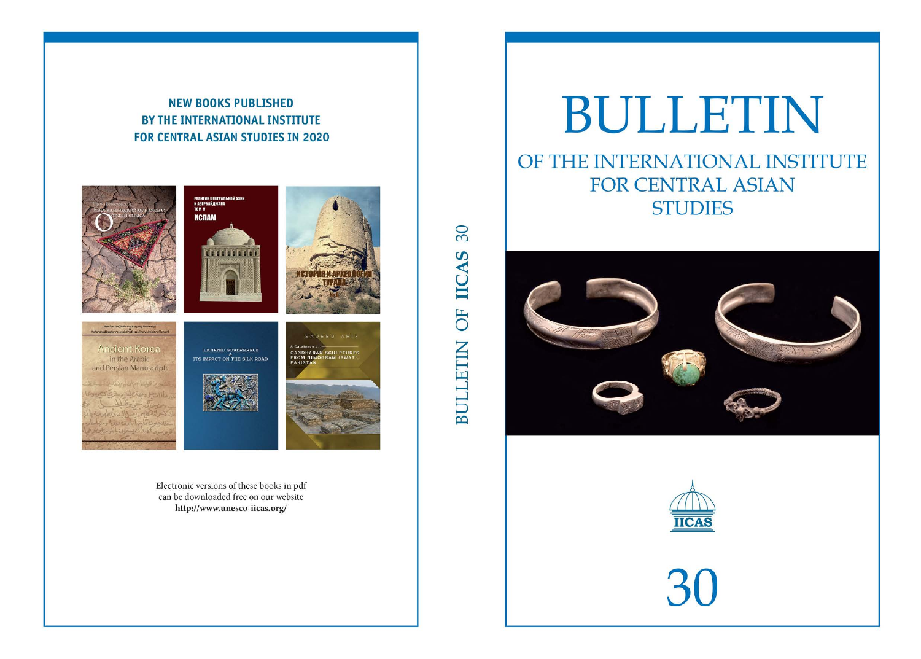# BULLETIN OF THE INTERNATIONAL INSTITUTE FOR CENTRAL ASIAN **STUDIES**





30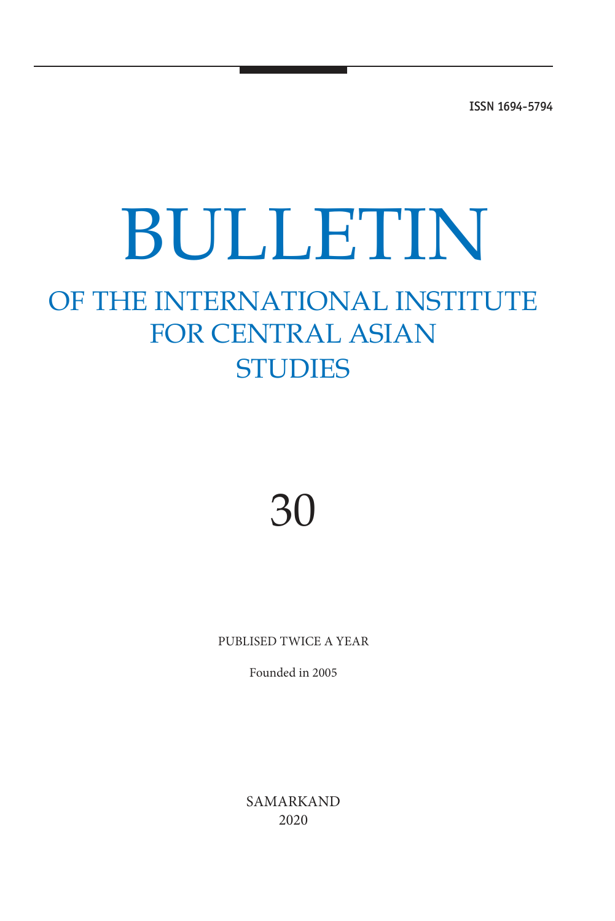ISSN 1694-5794

# BULLETIN

# OF THE INTERNATIONAL INSTITUTE FOR CENTRAL ASIAN **STUDIES**

# 30

PUBLISED TWICE A YEAR

Founded in 2005

SAMARKAND 2020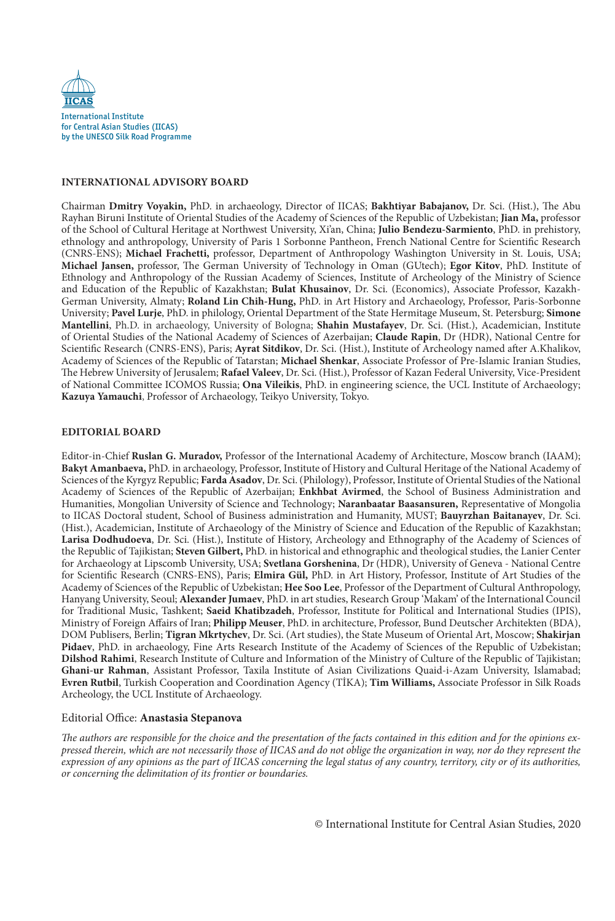

# **InternatIonal advIsory Board**

Chairman **dmitry voyakin,** PhD. in archaeology, Director of IICAS; **Bakhtiyar Babajanov,** Dr. Sci. (Hist.), The Abu Rayhan Biruni Institute of Oriental Studies of the Academy of Sciences of the Republic of Uzbekistan; **Jian Ma,** professor of the School of Cultural Heritage at Northwest University, Xi'an, China; **Julio Bendezu-sarmiento**, PhD. in prehistory, ethnology and anthropology, University of Paris 1 Sorbonne Pantheon, French National Centre for Scientific Research (CNRS-ENS); **Michael Frachetti,** professor, Department of Anthropology Washington University in St. Louis, USA; **Michael Jansen,** professor, The German University of Technology in Oman (GUtech); **egor Kitov**, PhD. Institute of Ethnology and Anthropology of the Russian Academy of Sciences, Institute of Archeology of the Ministry of Science and Education of the Republic of Kazakhstan; **Bulat Khusainov**, Dr. Sci. (Economics), Associate Professor, Kazakh-German University, Almaty; **roland lin Chih-Hung,** PhD. in Art History and Archaeology, Professor, Paris-Sorbonne University; **Pavel lurje**, PhD. in philology, Oriental Department of the State Hermitage Museum, St. Petersburg; **simone Mantellini**, Ph.D. in archaeology, University of Bologna; **shahin Mustafayev**, Dr. Sci. (Hist.), Academician, Institute of Oriental Studies of the National Academy of Sciences of Azerbaijan; **Claude rapin**, Dr (HDR), National Centre for Scientific Research (CNRS-ENS), Paris; **ayrat sitdikov**, Dr. Sci. (Hist.), Institute of Archeology named after A.Khalikov, Academy of Sciences of the Republic of Tatarstan; **Michael shenkar**, Associate Professor of Pre-Islamic Iranian Studies, The Hebrew University of Jerusalem; **rafael valeev**, Dr. Sci. (Hist.), Professor of Kazan Federal University, Vice-President of National Committee ICOMOS Russia; **ona vileikis**, PhD. in engineering science, the UCL Institute of Archaeology; **Kazuya yamauchi**, Professor of Archaeology, Teikyo University, Tokyo.

## **edItorIal Board**

Editor-in-Chief **ruslan G. Muradov,** Professor of the International Academy of Architecture, Moscow branch (IAAM); Bakyt Amanbaeva, PhD. in archaeology, Professor, Institute of History and Cultural Heritage of the National Academy of Sciences of the Kyrgyz Republic; **Farda asadov**, Dr. Sci. (Philology), Professor, Institute of Oriental Studies of the National Academy of Sciences of the Republic of Azerbaijan; **enkhbat avirmed**, the School of Business Administration and Humanities, Mongolian University of Science and Technology; **naranbaatar Baasansuren,** Representative of Mongolia to IICAS Doctoral student, School of Business administration and Humanity, MUST; **Bauyrzhan Baitanayev**, Dr. Sci. (Hist.), Academician, Institute of Archaeology of the Ministry of Science and Education of the Republic of Kazakhstan; **larisa dodhudoeva**, Dr. Sci. (Hist.), Institute of History, Archeology and Ethnography of the Academy of Sciences of the Republic of Tajikistan; **steven Gilbert,** PhD. in historical and ethnographic and theological studies, the Lanier Center for Archaeology at Lipscomb University, USA; **svetlana Gorshenina**, Dr (HDR), University of Geneva - National Centre for Scientific Research (CNRS-ENS), Paris; **elmira Gül,** PhD. in Art History, Professor, Institute of Art Studies of the Academy of Sciences of the Republic of Uzbekistan; **Hee soo lee**, Professor of the Department of Cultural Anthropology, Hanyang University, Seoul; **alexander Jumaev**, PhD. in art studies, Research Group 'Makam' of the International Council for Traditional Music, Tashkent; **saeid Khatibzadeh**, Professor, Institute for Political and International Studies (IPIS), Ministry of Foreign Affairs of Iran; **Philipp Meuser**, PhD. in architecture, Professor, Bund Deutscher Architekten (BDA), DOM Publisers, Berlin; **tigran Mkrtychev**, Dr. Sci. (Art studies), the State Museum of Oriental Art, Moscow; **shakirjan Pidaev**, PhD. in archaeology, Fine Arts Research Institute of the Academy of Sciences of the Republic of Uzbekistan; **Dilshod Rahimi**, Research Institute of Culture and Information of the Ministry of Culture of the Republic of Tajikistan; **Ghani-ur rahman**, Assistant Professor, Taxila Institute of Asian Civilizations Quaid-i-Azam University, Islamabad; **evren rutbil**, Turkish Cooperation and Coordination Agency (TİKA); **tim Williams,** Associate Professor in Silk Roads Archeology, the UCL Institute of Archaeology.

# Editorial Office: **anastasia stepanova**

The authors are responsible for the choice and the presentation of the facts contained in this edition and for the opinions expressed therein, which are not necessarily those of IICAS and do not oblige the organization in way, nor do they represent the expression of any opinions as the part of IICAS concerning the legal status of any country, territory, city or of its authorities, or concerning the delimitation of its frontier or boundaries.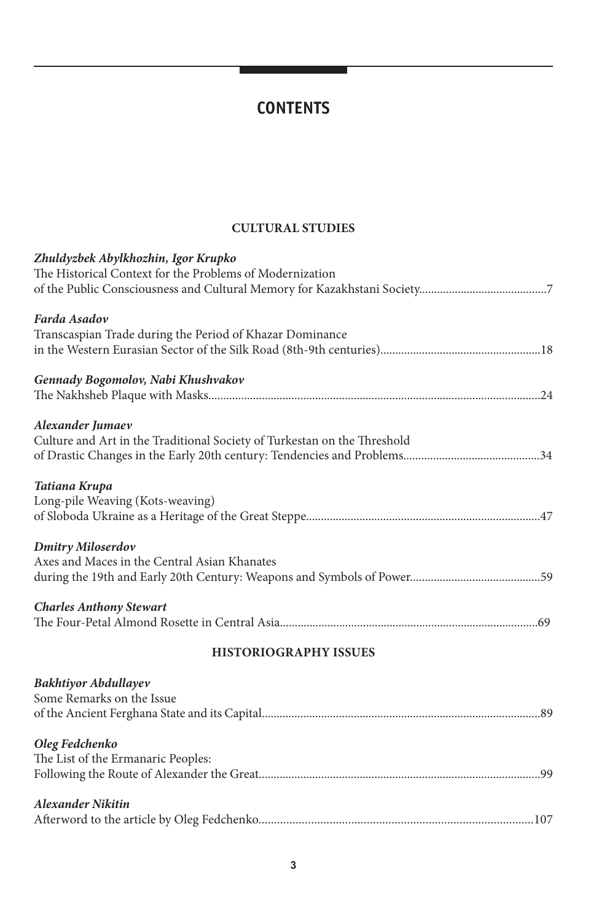# **CONTENTS**

# **CUltUral stUdIes**

| Zhuldyzbek Abylkhozhin, Igor Krupko<br>The Historical Context for the Problems of Modernization |
|-------------------------------------------------------------------------------------------------|
|                                                                                                 |
| Farda Asadov                                                                                    |
| Transcaspian Trade during the Period of Khazar Dominance                                        |
|                                                                                                 |
| Gennady Bogomolov, Nabi Khushvakov                                                              |
|                                                                                                 |
| Alexander Jumaev                                                                                |
| Culture and Art in the Traditional Society of Turkestan on the Threshold                        |
|                                                                                                 |
| Tatiana Krupa                                                                                   |
| Long-pile Weaving (Kots-weaving)                                                                |
|                                                                                                 |
| <b>Dmitry Miloserdov</b>                                                                        |
| Axes and Maces in the Central Asian Khanates                                                    |
|                                                                                                 |
| <b>Charles Anthony Stewart</b>                                                                  |
|                                                                                                 |
| <b>HISTORIOGRAPHY ISSUES</b>                                                                    |
| <b>Bakhtiyor Abdullayev</b>                                                                     |
| Some Remarks on the Issue                                                                       |
|                                                                                                 |
| Oleg Fedchenko                                                                                  |
| The List of the Ermanaric Peoples:                                                              |
|                                                                                                 |
| <b>Alexander Nikitin</b>                                                                        |
|                                                                                                 |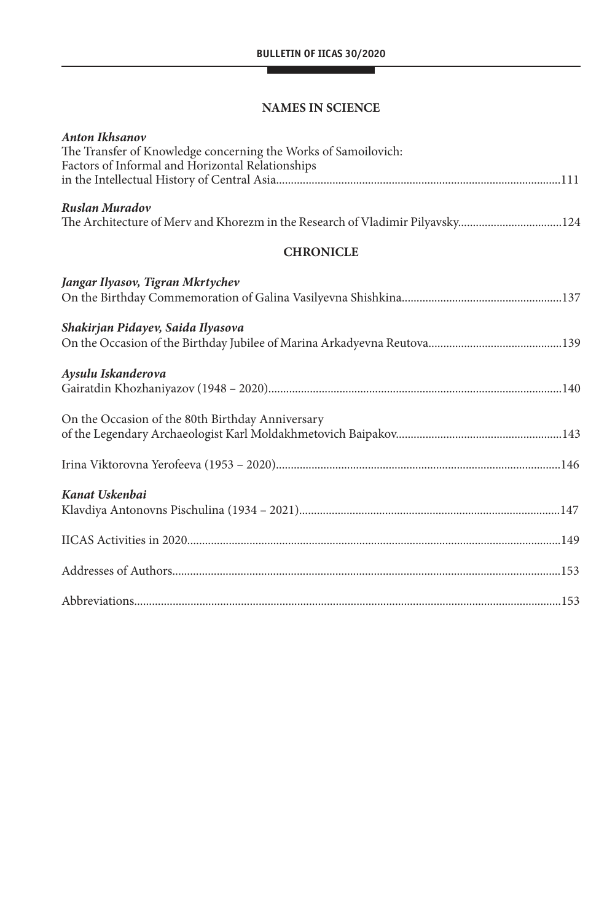# **naMes In sCIenCe**

| <b>Anton Ikhsanov</b><br>The Transfer of Knowledge concerning the Works of Samoilovich:<br>Factors of Informal and Horizontal Relationships |
|---------------------------------------------------------------------------------------------------------------------------------------------|
| Ruslan Muradov<br>The Architecture of Merv and Khorezm in the Research of Vladimir Pilyavsky124                                             |
| <b>CHRONICLE</b>                                                                                                                            |
| Jangar Ilyasov, Tigran Mkrtychev                                                                                                            |
| Shakirjan Pidayev, Saida Ilyasova                                                                                                           |
| Aysulu Iskanderova                                                                                                                          |
| On the Occasion of the 80th Birthday Anniversary                                                                                            |
|                                                                                                                                             |
| Kanat Uskenbai                                                                                                                              |
|                                                                                                                                             |
|                                                                                                                                             |
|                                                                                                                                             |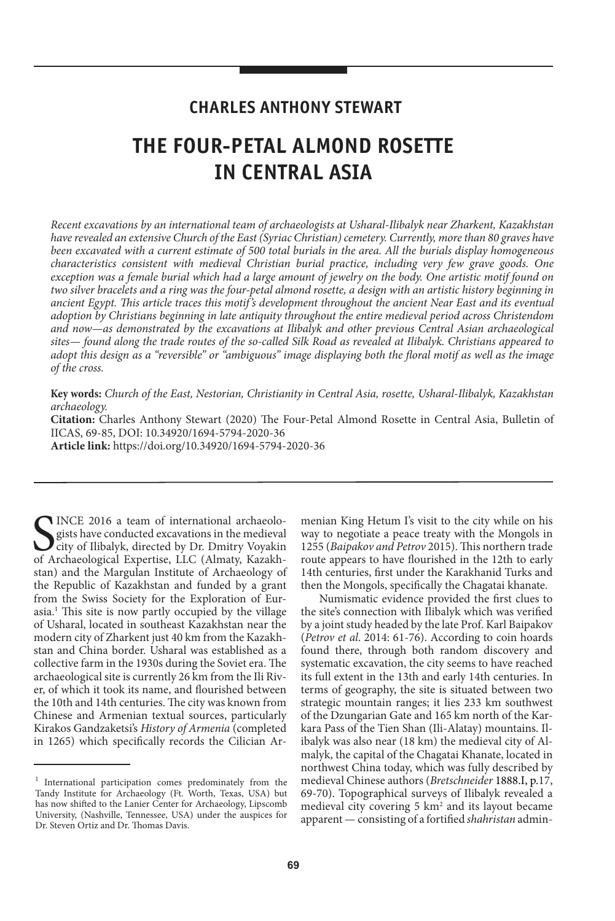# **CHARLES ANTHONY STEWART**

# **THE FOUR-PETAL ALMOND ROSETTE IN CENTRAL ASIA**

Recent excavations by an international team of archaeologists at Usharal-Ilibalyk near Zharkent, Kazakhstan have revealed an extensive Church of the East (Syriac Christian) cemetery. Currently, more than 80 graves have been excavated with a current estimate of 500 total burials in the area. All the burials display homogeneous characteristics consistent with medieval Christian burial practice, including very few grave goods. One exception was a female burial which had a large amount of jewelry on the body. One artistic motif found on two silver bracelets and a ring was the four-petal almond rosette, a design with an artistic history beginning in ancient Egypt. This article traces this motif's development throughout the ancient Near East and its eventual adoption by Christians beginning in late antiquity throughout the entire medieval period across Christendom and now—as demonstrated by the excavations at Ilibalyk and other previous Central Asian archaeological sites— found along the trade routes of the so-called Silk Road as revealed at Ilibalyk. Christians appeared to adopt this design as a "reversible" or "ambiguous" image displaying both the floral motif as well as the image of the cross.

**Key words:** Church of the East, Nestorian, Christianity in Central Asia, rosette, Usharal-Ilibalyk, Kazakhstan archaeology.

**Citation:** Charles Anthony Stewart (2020) The Four-Petal Almond Rosette in Central Asia, Bulletin of IICAS, 69-85, DOI: 10.34920/1694-5794-2020-36

**article link:** https://doi.org/10.34920/1694-5794-2020-36

SINCE 2016 a team of international archaeologists have conducted excavations in the medieval city of Ilibalyk, directed by Dr. Dmitry Voyakin of Archaeological Expertise, LLC (Almaty, Kazakh-INCE 2016 a team of international archaeologists have conducted excavations in the medieval city of Ilibalyk, directed by Dr. Dmitry Voyakin stan) and the Margulan Institute of Archaeology of the Republic of Kazakhstan and funded by a grant from the Swiss Society for the Exploration of Eurasia.<sup>1</sup> This site is now partly occupied by the village of Usharal, located in southeast Kazakhstan near the modern city of Zharkent just 40 km from the Kazakhstan and China border. Usharal was established as a collective farm in the 1930s during the Soviet era. The archaeological site is currently 26 km from the Ili River, of which it took its name, and flourished between the 10th and 14th centuries. The city was known from Chinese and Armenian textual sources, particularly Kirakos Gandzaketsi's History of Armenia (completed in 1265) which specifically records the Cilician Ar-

menian King Hetum I's visit to the city while on his way to negotiate a peace treaty with the Mongols in 1255 (Baipakov and Petrov 2015). This northern trade route appears to have flourished in the 12th to early 14th centuries, first under the Karakhanid Turks and then the Mongols, specifically the Chagatai khanate.

Numismatic evidence provided the first clues to the site's connection with Ilibalyk which was verified by a joint study headed by the late Prof. Karl Baipakov (Petrov et al. 2014: 61-76). According to coin hoards found there, through both random discovery and systematic excavation, the city seems to have reached its full extent in the 13th and early 14th centuries. In terms of geography, the site is situated between two strategic mountain ranges; it lies 233 km southwest of the Dzungarian Gate and 165 km north of the Karkara Pass of the Tien Shan (Ili-Alatay) mountains. Ilibalyk was also near (18 km) the medieval city of Almalyk, the capital of the Chagatai Khanate, located in northwest China today, which was fully described by medieval Chinese authors (Bretschneider 1888.I, p.17, 69-70). Topographical surveys of Ilibalyk revealed a medieval city covering  $5 \text{ km}^2$  and its layout became apparent — consisting of a fortified shahristan admin-

<sup>1</sup> International participation comes predominately from the Tandy Institute for Archaeology (Ft. Worth, Texas, USA) but has now shifted to the Lanier Center for Archaeology, Lipscomb University, (Nashville, Tennessee, USA) under the auspices for Dr. Steven Ortiz and Dr. Thomas Davis.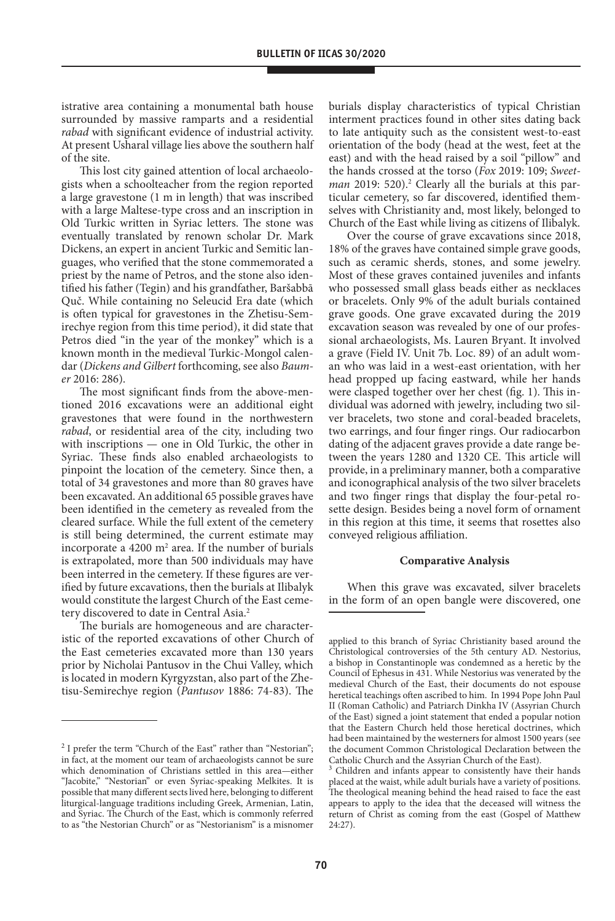istrative area containing a monumental bath house surrounded by massive ramparts and a residential rabad with significant evidence of industrial activity. At present Usharal village lies above the southern half of the site.

This lost city gained attention of local archaeologists when a schoolteacher from the region reported a large gravestone (1 m in length) that was inscribed with a large Maltese-type cross and an inscription in Old Turkic written in Syriac letters. The stone was eventually translated by renown scholar Dr. Mark Dickens, an expert in ancient Turkic and Semitic languages, who verified that the stone commemorated a priest by the name of Petros, and the stone also identified his father (Tegin) and his grandfather, Baršabbā Quč. While containing no Seleucid Era date (which is often typical for gravestones in the Zhetisu-Semirechye region from this time period), it did state that Petros died "in the year of the monkey" which is a known month in the medieval Turkic-Mongol calendar (Dickens and Gilbert forthcoming, see also Baumer 2016: 286).

The most significant finds from the above-mentioned 2016 excavations were an additional eight gravestones that were found in the northwestern rabad, or residential area of the city, including two with inscriptions — one in Old Turkic, the other in Syriac. These finds also enabled archaeologists to pinpoint the location of the cemetery. Since then, a total of 34 gravestones and more than 80 graves have been excavated. An additional 65 possible graves have been identified in the cemetery as revealed from the cleared surface. While the full extent of the cemetery is still being determined, the current estimate may incorporate a  $4200 \text{ m}^2$  area. If the number of burials is extrapolated, more than 500 individuals may have been interred in the cemetery. If these figures are verified by future excavations, then the burials at Ilibalyk would constitute the largest Church of the East cemetery discovered to date in Central Asia.<sup>2</sup>

The burials are homogeneous and are characteristic of the reported excavations of other Church of the East cemeteries excavated more than 130 years prior by Nicholai Pantusov in the Chui Valley, which is located in modern Kyrgyzstan, also part of the Zhetisu-Semirechye region (Pantusov 1886: 74-83). The

burials display characteristics of typical Christian interment practices found in other sites dating back to late antiquity such as the consistent west-to-east orientation of the body (head at the west, feet at the east) and with the head raised by a soil "pillow" and the hands crossed at the torso (Fox 2019: 109; Sweet $man$  2019: 520).<sup>2</sup> Clearly all the burials at this particular cemetery, so far discovered, identified themselves with Christianity and, most likely, belonged to Church of the East while living as citizens of Ilibalyk.

Over the course of grave excavations since 2018, 18% of the graves have contained simple grave goods, such as ceramic sherds, stones, and some jewelry. Most of these graves contained juveniles and infants who possessed small glass beads either as necklaces or bracelets. Only 9% of the adult burials contained grave goods. One grave excavated during the 2019 excavation season was revealed by one of our professional archaeologists, Ms. Lauren Bryant. It involved a grave (Field IV. Unit 7b. Loc. 89) of an adult woman who was laid in a west-east orientation, with her head propped up facing eastward, while her hands were clasped together over her chest (fig. 1). This individual was adorned with jewelry, including two silver bracelets, two stone and coral-beaded bracelets, two earrings, and four finger rings. Our radiocarbon dating of the adjacent graves provide a date range between the years 1280 and 1320 CE. This article will provide, in a preliminary manner, both a comparative and iconographical analysis of the two silver bracelets and two finger rings that display the four-petal rosette design. Besides being a novel form of ornament in this region at this time, it seems that rosettes also conveyed religious affiliation.

# **Comparative analysis**

When this grave was excavated, silver bracelets in the form of an open bangle were discovered, one

<sup>&</sup>lt;sup>2</sup> I prefer the term "Church of the East" rather than "Nestorian"; in fact, at the moment our team of archaeologists cannot be sure which denomination of Christians settled in this area—either "Jacobite," "Nestorian" or even Syriac-speaking Melkites. It is possible that many different sects lived here, belonging to different liturgical-language traditions including Greek, Armenian, Latin, and Syriac. The Church of the East, which is commonly referred to as "the Nestorian Church" or as "Nestorianism" is a misnomer

applied to this branch of Syriac Christianity based around the Christological controversies of the 5th century AD. Nestorius, a bishop in Constantinople was condemned as a heretic by the Council of Ephesus in 431. While Nestorius was venerated by the medieval Church of the East, their documents do not espouse heretical teachings often ascribed to him. In 1994 Pope John Paul II (Roman Catholic) and Patriarch Dinkha IV (Assyrian Church of the East) signed a joint statement that ended a popular notion that the Eastern Church held those heretical doctrines, which had been maintained by the westerners for almost 1500 years (see the document Common Christological Declaration between the Catholic Church and the Assyrian Church of the East).<br><sup>3</sup> Children and infants appear to consistently have the

Children and infants appear to consistently have their hands placed at the waist, while adult burials have a variety of positions. The theological meaning behind the head raised to face the east appears to apply to the idea that the deceased will witness the return of Christ as coming from the east (Gospel of Matthew 24:27).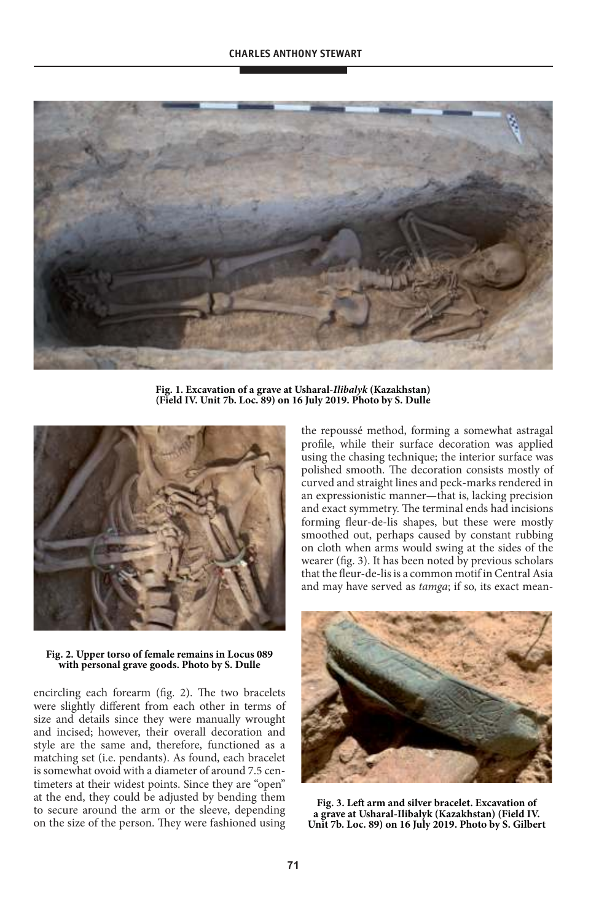

**Fig. 1. excavation of a grave at Usharal-Ilibalyk (Kazakhstan)**  (Field IV. Unit 7b. Loc. 89) on 16 July 2019. Photo by S. Dulle



#### **Fig. 2. Upper torso of female remains in locus 089**  with personal grave goods. Photo by S. Dulle

encircling each forearm (fig. 2). The two bracelets were slightly different from each other in terms of size and details since they were manually wrought and incised; however, their overall decoration and style are the same and, therefore, functioned as a matching set (i.e. pendants). As found, each bracelet is somewhat ovoid with a diameter of around 7.5 centimeters at their widest points. Since they are "open" at the end, they could be adjusted by bending them to secure around the arm or the sleeve, depending on the size of the person. They were fashioned using the repoussé method, forming a somewhat astragal profile, while their surface decoration was applied using the chasing technique; the interior surface was polished smooth. The decoration consists mostly of curved and straight lines and peck-marks rendered in an expressionistic manner—that is, lacking precision and exact symmetry. The terminal ends had incisions forming fleur-de-lis shapes, but these were mostly smoothed out, perhaps caused by constant rubbing on cloth when arms would swing at the sides of the wearer (fig. 3). It has been noted by previous scholars that the fleur-de-lis is a common motif in Central Asia and may have served as tamga; if so, its exact mean-



Fig. 3. Left arm and silver bracelet. Excavation of **a grave at Usharal-Ilibalyk (Kazakhstan) (Field Iv. Unit 7b. loc. 89) on 16 July 2019. Photo by s. Gilbert**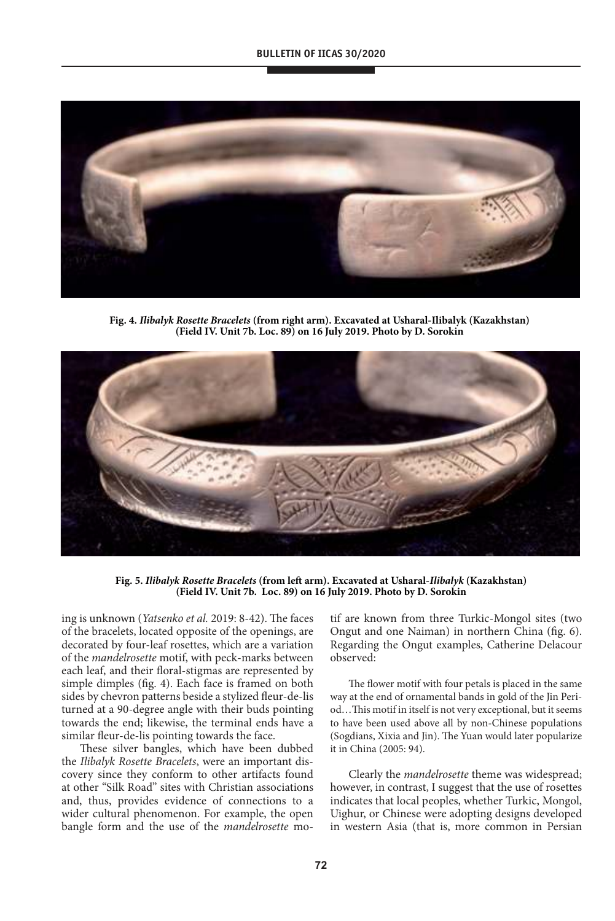

**Fig. 4. Ilibalyk Rosette Bracelets (from right arm). excavated at Usharal-Ilibalyk (Kazakhstan)**  (Field IV. Unit 7b. Loc. 89) on 16 July 2019. Photo by D. Sorokin



**Fig. 5. Ilibalyk Rosette Bracelets (from left arm). excavated at Usharal-Ilibalyk (Kazakhstan)**  (Field IV. Unit 7b. Loc. 89) on 16 July 2019. Photo by D. Sorokin

ing is unknown (Yatsenko et al. 2019: 8-42). The faces of the bracelets, located opposite of the openings, are decorated by four-leaf rosettes, which are a variation of the mandelrosette motif, with peck-marks between each leaf, and their floral-stigmas are represented by simple dimples (fig. 4). Each face is framed on both sides by chevron patterns beside a stylized fleur-de-lis turned at a 90-degree angle with their buds pointing towards the end; likewise, the terminal ends have a similar fleur-de-lis pointing towards the face.

These silver bangles, which have been dubbed the Ilibalyk Rosette Bracelets, were an important discovery since they conform to other artifacts found at other "Silk Road" sites with Christian associations and, thus, provides evidence of connections to a wider cultural phenomenon. For example, the open bangle form and the use of the mandelrosette motif are known from three Turkic-Mongol sites (two Ongut and one Naiman) in northern China (fig. 6). Regarding the Ongut examples, Catherine Delacour observed:

The flower motif with four petals is placed in the same way at the end of ornamental bands in gold of the Jin Period…This motif in itself is not very exceptional, but it seems to have been used above all by non-Chinese populations (Sogdians, Xixia and Jin). The Yuan would later popularize it in China (2005: 94).

Clearly the mandelrosette theme was widespread; however, in contrast, I suggest that the use of rosettes indicates that local peoples, whether Turkic, Mongol, Uighur, or Chinese were adopting designs developed in western Asia (that is, more common in Persian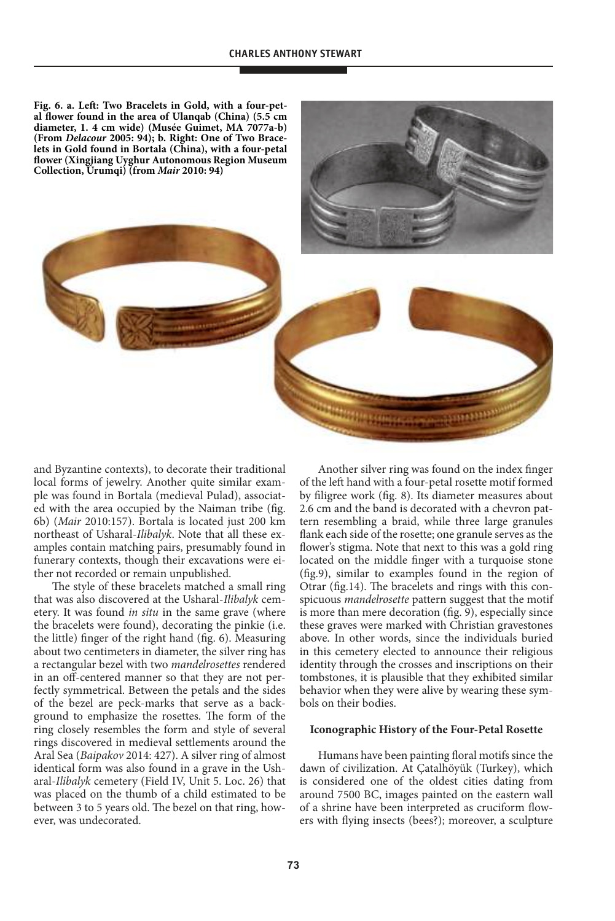Fig. 6. a. Left: Two Bracelets in Gold, with a four-pet**al flower found in the area of Ulanqab (China) (5.5 cm diameter, 1. 4 cm wide) (Musée Guimet, Ma 7077a-b)**  (From *Delacour* 2005: 94); b. Right: One of Two Brace**lets in Gold found in Bortala (China), with a four-petal flower (Xingjiang Uyghur autonomous region Museum Collection, Urumqi) (from Mair 2010: 94)**



and Byzantine contexts), to decorate their traditional local forms of jewelry. Another quite similar example was found in Bortala (medieval Pulad), associated with the area occupied by the Naiman tribe (fig. 6b) (Mair 2010:157). Bortala is located just 200 km northeast of Usharal-Ilibalyk. Note that all these examples contain matching pairs, presumably found in funerary contexts, though their excavations were either not recorded or remain unpublished.

The style of these bracelets matched a small ring that was also discovered at the Usharal-Ilibalyk cemetery. It was found *in situ* in the same grave (where the bracelets were found), decorating the pinkie (i.e. the little) finger of the right hand (fig. 6). Measuring about two centimeters in diameter, the silver ring has a rectangular bezel with two mandelrosettes rendered in an off-centered manner so that they are not perfectly symmetrical. Between the petals and the sides of the bezel are peck-marks that serve as a background to emphasize the rosettes. The form of the ring closely resembles the form and style of several rings discovered in medieval settlements around the Aral Sea (Baipakov 2014: 427). A silver ring of almost identical form was also found in a grave in the Usharal-Ilibalyk cemetery (Field IV, Unit 5. Loc. 26) that was placed on the thumb of a child estimated to be between 3 to 5 years old. The bezel on that ring, however, was undecorated.

Another silver ring was found on the index finger of the left hand with a four-petal rosette motif formed by filigree work (fig. 8). Its diameter measures about 2.6 cm and the band is decorated with a chevron pattern resembling a braid, while three large granules flank each side of the rosette; one granule serves as the flower's stigma. Note that next to this was a gold ring located on the middle finger with a turquoise stone (fig.9), similar to examples found in the region of Otrar (fig.14). The bracelets and rings with this conspicuous mandelrosette pattern suggest that the motif is more than mere decoration (fig. 9), especially since these graves were marked with Christian gravestones above. In other words, since the individuals buried in this cemetery elected to announce their religious identity through the crosses and inscriptions on their tombstones, it is plausible that they exhibited similar behavior when they were alive by wearing these symbols on their bodies.

### **Iconographic History of the Four-Petal Rosette**

Humans have been painting floral motifs since the dawn of civilization. At Çatalhöyük (Turkey), which is considered one of the oldest cities dating from around 7500 BC, images painted on the eastern wall of a shrine have been interpreted as cruciform flowers with flying insects (bees?); moreover, a sculpture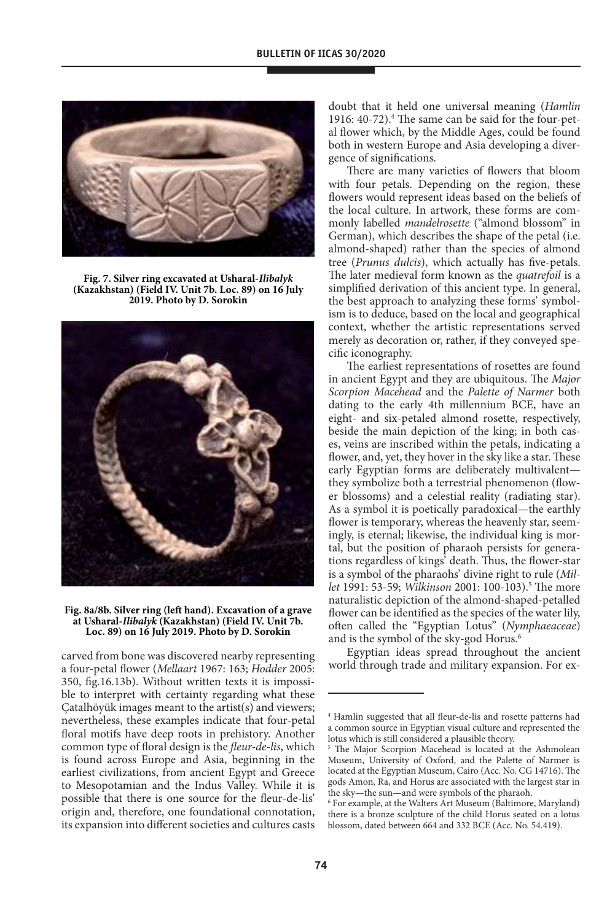

**Fig. 7. silver ring excavated at Usharal-Ilibalyk (Kazakhstan) (Field Iv. Unit 7b. loc. 89) on 16 July**  2019. Photo by D. Sorokin



#### **Fig. 8a/8b. silver ring (left hand). excavation of a grave at Usharal-Ilibalyk (Kazakhstan) (Field Iv. Unit 7b.**  Loc. 89) on 16 July 2019. Photo by D. Sorokin

carved from bone was discovered nearby representing a four-petal flower (Mellaart 1967: 163; Hodder 2005: 350, fig.16.13b). Without written texts it is impossible to interpret with certainty regarding what these Çatalhöyük images meant to the artist(s) and viewers; nevertheless, these examples indicate that four-petal floral motifs have deep roots in prehistory. Another common type of floral design is the fleur-de-lis, which is found across Europe and Asia, beginning in the earliest civilizations, from ancient Egypt and Greece to Mesopotamian and the Indus Valley. While it is possible that there is one source for the fleur-de-lis' origin and, therefore, one foundational connotation, its expansion into different societies and cultures casts doubt that it held one universal meaning (Hamlin 1916: 40-72).<sup>4</sup> The same can be said for the four-petal flower which, by the Middle Ages, could be found both in western Europe and Asia developing a divergence of significations.

There are many varieties of flowers that bloom with four petals. Depending on the region, these flowers would represent ideas based on the beliefs of the local culture. In artwork, these forms are commonly labelled mandelrosette ("almond blossom" in German), which describes the shape of the petal (i.e. almond-shaped) rather than the species of almond tree (Prunus dulcis), which actually has five-petals. The later medieval form known as the quatrefoil is a simplified derivation of this ancient type. In general, the best approach to analyzing these forms' symbolism is to deduce, based on the local and geographical context, whether the artistic representations served merely as decoration or, rather, if they conveyed specific iconography.

The earliest representations of rosettes are found in ancient Egypt and they are ubiquitous. The Major Scorpion Macehead and the Palette of Narmer both dating to the early 4th millennium BCE, have an eight- and six-petaled almond rosette, respectively, beside the main depiction of the king; in both cases, veins are inscribed within the petals, indicating a flower, and, yet, they hover in the sky like a star. These early Egyptian forms are deliberately multivalent they symbolize both a terrestrial phenomenon (flower blossoms) and a celestial reality (radiating star). As a symbol it is poetically paradoxical—the earthly flower is temporary, whereas the heavenly star, seemingly, is eternal; likewise, the individual king is mortal, but the position of pharaoh persists for generations regardless of kings' death. Thus, the flower-star is a symbol of the pharaohs' divine right to rule (Millet 1991: 53-59; Wilkinson 2001: 100-103).<sup>5</sup> The more naturalistic depiction of the almond-shaped-petalled flower can be identified as the species of the water lily, often called the "Egyptian Lotus" (Nymphaeaceae) and is the symbol of the sky-god Horus.<sup>6</sup>

Egyptian ideas spread throughout the ancient world through trade and military expansion. For ex-

<sup>4</sup> Hamlin suggested that all fleur-de-lis and rosette patterns had a common source in Egyptian visual culture and represented the lotus which is still considered a plausible theory.

<sup>5</sup> The Major Scorpion Macehead is located at the Ashmolean Museum, University of Oxford, and the Palette of Narmer is located at the Egyptian Museum, Cairo (Acc. No. CG 14716). The gods Amon, Ra, and Horus are associated with the largest star in the sky—the sun—and were symbols of the pharaoh.

<sup>6</sup> For example, at the Walters Art Museum (Baltimore, Maryland) there is a bronze sculpture of the child Horus seated on a lotus blossom, dated between 664 and 332 BCE (Acc. No. 54.419).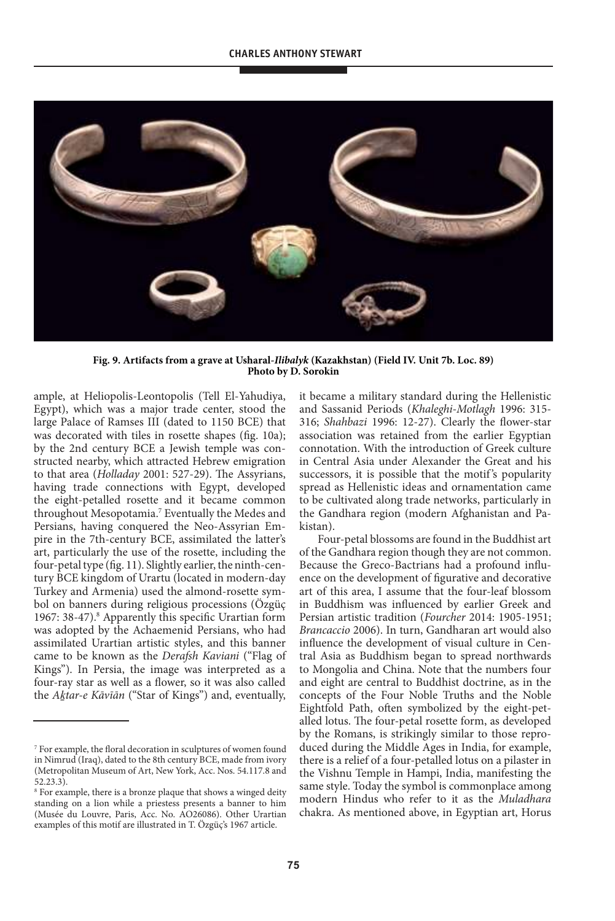

**Fig. 9. artifacts from a grave at Usharal-Ilibalyk (Kazakhstan) (Field Iv. Unit 7b. loc. 89)**  Photo by D. Sorokin

ample, at Heliopolis-Leontopolis (Tell El-Yahudiya, Egypt), which was a major trade center, stood the large Palace of Ramses III (dated to 1150 BCE) that was decorated with tiles in rosette shapes (fig. 10a); by the 2nd century BCE a Jewish temple was constructed nearby, which attracted Hebrew emigration to that area (Holladay 2001: 527-29). The Assyrians, having trade connections with Egypt, developed the eight-petalled rosette and it became common throughout Mesopotamia.<sup>7</sup> Eventually the Medes and Persians, having conquered the Neo-Assyrian Empire in the 7th-century BCE, assimilated the latter's art, particularly the use of the rosette, including the four-petal type (fig. 11). Slightly earlier, the ninth-century BCE kingdom of Urartu (located in modern-day Turkey and Armenia) used the almond-rosette symbol on banners during religious processions (Özgüç 1967: 38-47).<sup>8</sup> Apparently this specific Urartian form was adopted by the Achaemenid Persians, who had assimilated Urartian artistic styles, and this banner came to be known as the Derafsh Kaviani ("Flag of Kings"). In Persia, the image was interpreted as a four-ray star as well as a flower, so it was also called the A*ḵ*tar-e Kāvīān ("Star of Kings") and, eventually,

it became a military standard during the Hellenistic and Sassanid Periods (Khaleghi-Motlagh 1996: 315- 316; Shahbazi 1996: 12-27). Clearly the flower-star association was retained from the earlier Egyptian connotation. With the introduction of Greek culture in Central Asia under Alexander the Great and his successors, it is possible that the motif 's popularity spread as Hellenistic ideas and ornamentation came to be cultivated along trade networks, particularly in the Gandhara region (modern Afghanistan and Pakistan).

Four-petal blossoms are found in the Buddhist art of the Gandhara region though they are not common. Because the Greco-Bactrians had a profound influence on the development of figurative and decorative art of this area, I assume that the four-leaf blossom in Buddhism was influenced by earlier Greek and Persian artistic tradition (Fourcher 2014: 1905-1951; Brancaccio 2006). In turn, Gandharan art would also influence the development of visual culture in Central Asia as Buddhism began to spread northwards to Mongolia and China. Note that the numbers four and eight are central to Buddhist doctrine, as in the concepts of the Four Noble Truths and the Noble Eightfold Path, often symbolized by the eight-petalled lotus. The four-petal rosette form, as developed by the Romans, is strikingly similar to those reproduced during the Middle Ages in India, for example, there is a relief of a four-petalled lotus on a pilaster in the Vishnu Temple in Hampi, India, manifesting the same style. Today the symbol is commonplace among modern Hindus who refer to it as the Muladhara chakra. As mentioned above, in Egyptian art, Horus

<sup>7</sup> For example, the floral decoration in sculptures of women found in Nimrud (Iraq), dated to the 8th century BCE, made from ivory (Metropolitan Museum of Art, New York, Acc. Nos. 54.117.8 and 52.23.3).

<sup>8</sup> For example, there is a bronze plaque that shows a winged deity standing on a lion while a priestess presents a banner to him (Musée du Louvre, Paris, Acc. No. AO26086). Other Urartian examples of this motif are illustrated in T. Özgüç's 1967 article.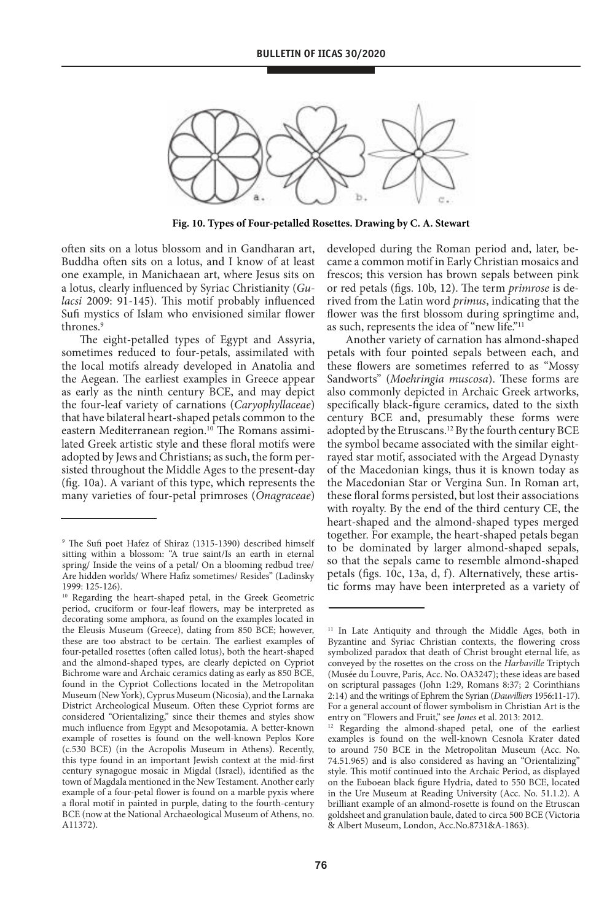

Fig. 10. Types of Four-petalled Rosettes. Drawing by C. A. Stewart

often sits on a lotus blossom and in Gandharan art, Buddha often sits on a lotus, and I know of at least one example, in Manichaean art, where Jesus sits on a lotus, clearly influenced by Syriac Christianity (Gulacsi 2009: 91-145). This motif probably influenced Sufi mystics of Islam who envisioned similar flower thrones.<sup>9</sup>

The eight-petalled types of Egypt and Assyria, sometimes reduced to four-petals, assimilated with the local motifs already developed in Anatolia and the Aegean. The earliest examples in Greece appear as early as the ninth century BCE, and may depict the four-leaf variety of carnations (Caryophyllaceae) that have bilateral heart-shaped petals common to the eastern Mediterranean region.<sup>10</sup> The Romans assimilated Greek artistic style and these floral motifs were adopted by Jews and Christians; as such, the form persisted throughout the Middle Ages to the present-day (fig. 10a). A variant of this type, which represents the many varieties of four-petal primroses (Onagraceae) developed during the Roman period and, later, became a common motif in Early Christian mosaics and frescos; this version has brown sepals between pink or red petals (figs. 10b, 12). The term primrose is derived from the Latin word primus, indicating that the flower was the first blossom during springtime and, as such, represents the idea of "new life."<sup>11</sup>

Another variety of carnation has almond-shaped petals with four pointed sepals between each, and these flowers are sometimes referred to as "Mossy Sandworts" (Moehringia muscosa). These forms are also commonly depicted in Archaic Greek artworks, specifically black-figure ceramics, dated to the sixth century BCE and, presumably these forms were adopted by the Etruscans.<sup>12</sup> By the fourth century BCE the symbol became associated with the similar eightrayed star motif, associated with the Argead Dynasty of the Macedonian kings, thus it is known today as the Macedonian Star or Vergina Sun. In Roman art, these floral forms persisted, but lost their associations with royalty. By the end of the third century CE, the heart-shaped and the almond-shaped types merged together. For example, the heart-shaped petals began to be dominated by larger almond-shaped sepals, so that the sepals came to resemble almond-shaped petals (figs. 10c, 13a, d, f). Alternatively, these artistic forms may have been interpreted as a variety of

<sup>9</sup> The Sufi poet Hafez of Shiraz (1315-1390) described himself sitting within a blossom: "A true saint/Is an earth in eternal spring/ Inside the veins of a petal/ On a blooming redbud tree/ Are hidden worlds/ Where Hafiz sometimes/ Resides" (Ladinsky 1999: 125-126).

<sup>10</sup> Regarding the heart-shaped petal, in the Greek Geometric period, cruciform or four-leaf flowers, may be interpreted as decorating some amphora, as found on the examples located in the Eleusis Museum (Greece), dating from 850 BCE; however, these are too abstract to be certain. The earliest examples of four-petalled rosettes (often called lotus), both the heart-shaped and the almond-shaped types, are clearly depicted on Cypriot Bichrome ware and Archaic ceramics dating as early as 850 BCE, found in the Cypriot Collections located in the Metropolitan Museum (New York), Cyprus Museum (Nicosia), and the Larnaka District Archeological Museum. Often these Cypriot forms are considered "Orientalizing," since their themes and styles show much influence from Egypt and Mesopotamia. A better-known example of rosettes is found on the well-known Peplos Kore (c.530 BCE) (in the Acropolis Museum in Athens). Recently, this type found in an important Jewish context at the mid-first century synagogue mosaic in Migdal (Israel), identified as the town of Magdala mentioned in the New Testament. Another early example of a four-petal flower is found on a marble pyxis where a floral motif in painted in purple, dating to the fourth-century BCE (now at the National Archaeological Museum of Athens, no. A11372).

<sup>&</sup>lt;sup>11</sup> In Late Antiquity and through the Middle Ages, both in Byzantine and Syriac Christian contexts, the flowering cross symbolized paradox that death of Christ brought eternal life, as conveyed by the rosettes on the cross on the Harbaville Triptych (Musée du Louvre, Paris, Acc. No. OA3247); these ideas are based on scriptural passages (John 1:29, Romans 8:37; 2 Corinthians 2:14) and the writings of Ephrem the Syrian (Dauvilliers 1956:11-17). For a general account of flower symbolism in Christian Art is the entry on "Flowers and Fruit," see Jones et al. 2013: 2012.

<sup>&</sup>lt;sup>12</sup> Regarding the almond-shaped petal, one of the earliest examples is found on the well-known Cesnola Krater dated to around 750 BCE in the Metropolitan Museum (Acc. No. 74.51.965) and is also considered as having an "Orientalizing" style. This motif continued into the Archaic Period, as displayed on the Euboean black figure Hydria, dated to 550 BCE, located in the Ure Museum at Reading University (Acc. No. 51.1.2). A brilliant example of an almond-rosette is found on the Etruscan goldsheet and granulation baule, dated to circa 500 BCE (Victoria & Albert Museum, London, Acc.No.8731&A-1863).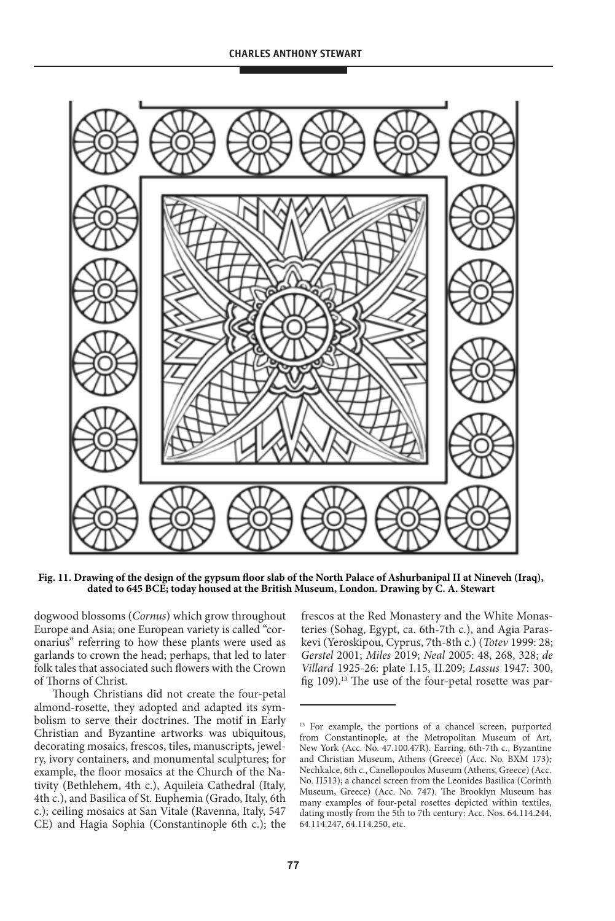

Fig. 11. Drawing of the design of the gypsum floor slab of the North Palace of Ashurbanipal II at Nineveh (Iraq), **dated to 645 BCe; today housed at the British Museum, london. drawing by C. a. stewart**

dogwood blossoms (Cornus) which grow throughout Europe and Asia; one European variety is called "coronarius" referring to how these plants were used as garlands to crown the head; perhaps, that led to later folk tales that associated such flowers with the Crown of Thorns of Christ.

Though Christians did not create the four-petal almond-rosette, they adopted and adapted its symbolism to serve their doctrines. The motif in Early Christian and Byzantine artworks was ubiquitous, decorating mosaics, frescos, tiles, manuscripts, jewelry, ivory containers, and monumental sculptures; for example, the floor mosaics at the Church of the Nativity (Bethlehem, 4th c.), Aquileia Cathedral (Italy, 4th c.), and Basilica of St. Euphemia (Grado, Italy, 6th c.); ceiling mosaics at San Vitale (Ravenna, Italy, 547 CE) and Hagia Sophia (Constantinople 6th c.); the frescos at the Red Monastery and the White Monasteries (Sohag, Egypt, ca. 6th-7th c.), and Agia Paraskevi (Yeroskipou, Cyprus, 7th-8th c.) (Totev 1999: 28; Gerstel 2001; Miles 2019; Neal 2005: 48, 268, 328; de Villard 1925-26: plate I.15, II.209; Lassus 1947: 300, fig  $109$ ).<sup>13</sup> The use of the four-petal rosette was par-

<sup>&</sup>lt;sup>13</sup> For example, the portions of a chancel screen, purported from Constantinople, at the Metropolitan Museum of Art, New York (Acc. No. 47.100.47R). Earring, 6th-7th c., Byzantine and Christian Museum, Athens (Greece) (Acc. No. BXM 173); Nechkalce, 6th c., Canellopoulos Museum (Athens, Greece) (Acc. No. Π513); a chancel screen from the Leonides Basilica (Corinth Museum, Greece) (Acc. No. 747). The Brooklyn Museum has many examples of four-petal rosettes depicted within textiles, dating mostly from the 5th to 7th century: Acc. Nos. 64.114.244, 64.114.247, 64.114.250, etc.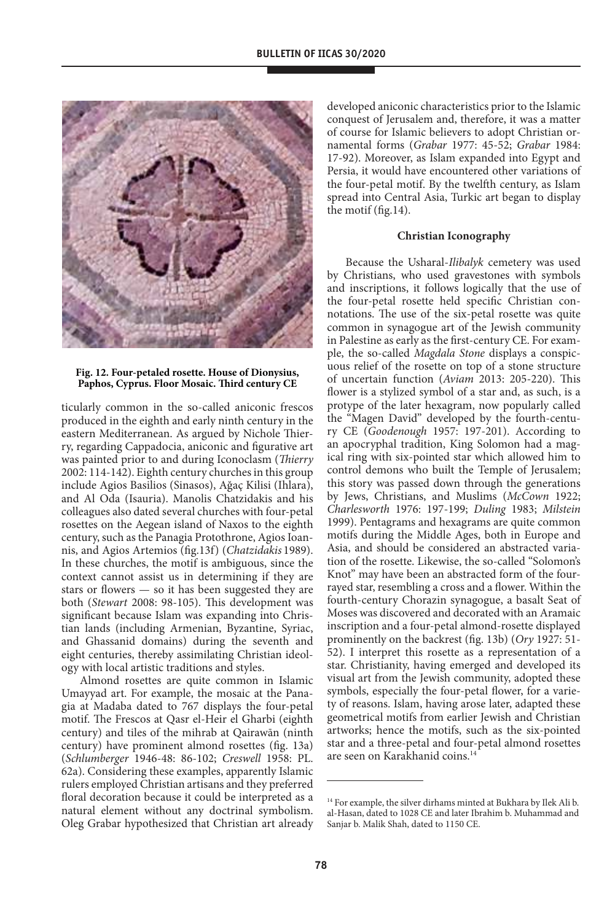![](_page_14_Picture_1.jpeg)

### Fig. 12. Four-petaled rosette. House of Dionysius, **Paphos, Cyprus. Floor Mosaic. Third century Ce**

ticularly common in the so-called aniconic frescos produced in the eighth and early ninth century in the eastern Mediterranean. As argued by Nichole Thierry, regarding Cappadocia, aniconic and figurative art was painted prior to and during Iconoclasm (Thierry 2002: 114-142). Eighth century churches in this group include Agios Basilios (Sinasos), Ağaç Kilisi (Ihlara), and Al Oda (Isauria). Manolis Chatzidakis and his colleagues also dated several churches with four-petal rosettes on the Aegean island of Naxos to the eighth century, such as the Panagia Protothrone, Agios Ioannis, and Agios Artemios (fig.13f) (Chatzidakis 1989). In these churches, the motif is ambiguous, since the context cannot assist us in determining if they are stars or flowers — so it has been suggested they are both (Stewart 2008: 98-105). This development was significant because Islam was expanding into Christian lands (including Armenian, Byzantine, Syriac, and Ghassanid domains) during the seventh and eight centuries, thereby assimilating Christian ideology with local artistic traditions and styles.

Almond rosettes are quite common in Islamic Umayyad art. For example, the mosaic at the Panagia at Madaba dated to 767 displays the four-petal motif. The Frescos at Qasr el-Heir el Gharbi (eighth century) and tiles of the mihrab at Qairawān (ninth century) have prominent almond rosettes (fig. 13a) (Schlumberger 1946-48: 86-102; Creswell 1958: PL. 62a). Considering these examples, apparently Islamic rulers employed Christian artisans and they preferred floral decoration because it could be interpreted as a natural element without any doctrinal symbolism. Oleg Grabar hypothesized that Christian art already

developed aniconic characteristics prior to the Islamic conquest of Jerusalem and, therefore, it was a matter of course for Islamic believers to adopt Christian ornamental forms (Grabar 1977: 45-52; Grabar 1984: 17-92). Moreover, as Islam expanded into Egypt and Persia, it would have encountered other variations of the four-petal motif. By the twelfth century, as Islam spread into Central Asia, Turkic art began to display the motif (fig.14).

## **Christian Iconography**

Because the Usharal-Ilibalyk cemetery was used by Christians, who used gravestones with symbols and inscriptions, it follows logically that the use of the four-petal rosette held specific Christian connotations. The use of the six-petal rosette was quite common in synagogue art of the Jewish community in Palestine as early as the first-century CE. For example, the so-called Magdala Stone displays a conspicuous relief of the rosette on top of a stone structure of uncertain function (Aviam 2013: 205-220). This flower is a stylized symbol of a star and, as such, is a protype of the later hexagram, now popularly called the "Magen David" developed by the fourth-century CE (Goodenough 1957: 197-201). According to an apocryphal tradition, King Solomon had a magical ring with six-pointed star which allowed him to control demons who built the Temple of Jerusalem; this story was passed down through the generations by Jews, Christians, and Muslims (McCown 1922; Charlesworth 1976: 197-199; Duling 1983; Milstein 1999). Pentagrams and hexagrams are quite common motifs during the Middle Ages, both in Europe and Asia, and should be considered an abstracted variation of the rosette. Likewise, the so-called "Solomon's Knot" may have been an abstracted form of the fourrayed star, resembling a cross and a flower. Within the fourth-century Chorazin synagogue, a basalt Seat of Moses was discovered and decorated with an Aramaic inscription and a four-petal almond-rosette displayed prominently on the backrest (fig. 13b) (Ory 1927: 51- 52). I interpret this rosette as a representation of a star. Christianity, having emerged and developed its visual art from the Jewish community, adopted these symbols, especially the four-petal flower, for a variety of reasons. Islam, having arose later, adapted these geometrical motifs from earlier Jewish and Christian artworks; hence the motifs, such as the six-pointed star and a three-petal and four-petal almond rosettes are seen on Karakhanid coins.<sup>14</sup>

<sup>&</sup>lt;sup>14</sup> For example, the silver dirhams minted at Bukhara by Ilek Ali b. al-Hasan, dated to 1028 CE and later Ibrahim b. Muhammad and Sanjar b. Malik Shah, dated to 1150 CE.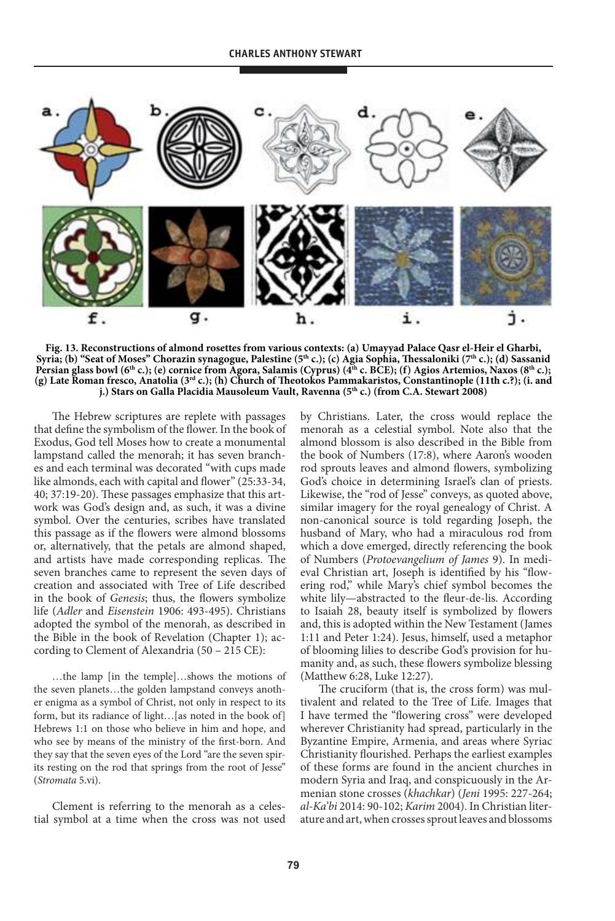![](_page_15_Figure_1.jpeg)

**Fig. 13. reconstructions of almond rosettes from various contexts: (a) Umayyad Palace Qasr el-Heir el Gharbi, syria; (b) "seat of Moses" Chorazin synagogue, Palestine (5th c.); (c) agia sophia, Thessaloniki (7th c.); (d) sassanid**  Persian glass bowl (6<sup>th</sup> c.); (e) cornice from Agora, Salamis (Cyprus) (4<sup>th</sup> c. BCE); (f) Agios Artemios, Naxos (8<sup>th</sup> c.); **(g) late roman fresco, anatolia (3rd c.); (h) Church of Theotokos Pammakaristos, Constantinople (11th c.?); (i. and j.) Stars on Galla Placidia Mausoleum Vault, Ravenna (5<sup>th</sup> c.) (from C.A. Stewart 2008)** 

The Hebrew scriptures are replete with passages that define the symbolism of the flower. In the book of Exodus, God tell Moses how to create a monumental lampstand called the menorah; it has seven branches and each terminal was decorated "with cups made like almonds, each with capital and flower" (25:33-34, 40; 37:19-20). These passages emphasize that this artwork was God's design and, as such, it was a divine symbol. Over the centuries, scribes have translated this passage as if the flowers were almond blossoms or, alternatively, that the petals are almond shaped, and artists have made corresponding replicas. The seven branches came to represent the seven days of creation and associated with Tree of Life described in the book of Genesis; thus, the flowers symbolize life (Adler and Eisenstein 1906: 493-495). Christians adopted the symbol of the menorah, as described in the Bible in the book of Revelation (Chapter 1); according to Clement of Alexandria (50 – 215 CE):

…the lamp [in the temple]…shows the motions of the seven planets…the golden lampstand conveys another enigma as a symbol of Christ, not only in respect to its form, but its radiance of light... [as noted in the book of] Hebrews 1:1 on those who believe in him and hope, and who see by means of the ministry of the first-born. And they say that the seven eyes of the Lord "are the seven spirits resting on the rod that springs from the root of Jesse" (Stromata 5.vi).

Clement is referring to the menorah as a celestial symbol at a time when the cross was not used by Christians. Later, the cross would replace the menorah as a celestial symbol. Note also that the almond blossom is also described in the Bible from the book of Numbers (17:8), where Aaron's wooden rod sprouts leaves and almond flowers, symbolizing God's choice in determining Israel's clan of priests. Likewise, the "rod of Jesse" conveys, as quoted above, similar imagery for the royal genealogy of Christ. A non-canonical source is told regarding Joseph, the husband of Mary, who had a miraculous rod from which a dove emerged, directly referencing the book of Numbers (Protoevangelium of James 9). In medieval Christian art, Joseph is identified by his "flowering rod," while Mary's chief symbol becomes the white lily—abstracted to the fleur-de-lis. According to Isaiah 28, beauty itself is symbolized by flowers and, this is adopted within the New Testament (James 1:11 and Peter 1:24). Jesus, himself, used a metaphor of blooming lilies to describe God's provision for humanity and, as such, these flowers symbolize blessing (Matthew 6:28, Luke 12:27).

The cruciform (that is, the cross form) was multivalent and related to the Tree of Life. Images that I have termed the "flowering cross" were developed wherever Christianity had spread, particularly in the Byzantine Empire, Armenia, and areas where Syriac Christianity flourished. Perhaps the earliest examples of these forms are found in the ancient churches in modern Syria and Iraq, and conspicuously in the Armenian stone crosses (khachkar) (Jeni 1995: 227-264; al-Ka'bi 2014: 90-102; Karim 2004). In Christian literature and art, when crosses sprout leaves and blossoms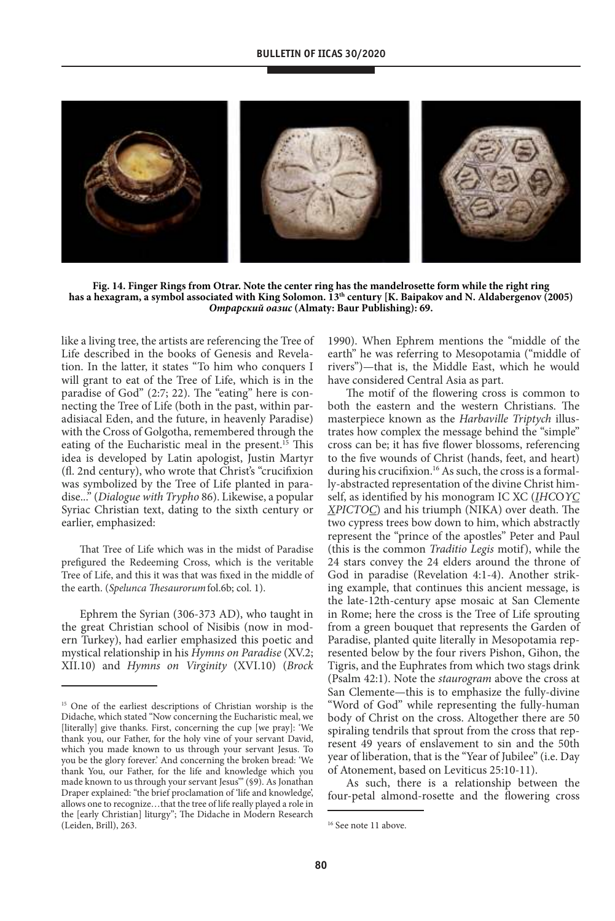### **BULLETIN OF IICAS 30/2020**

![](_page_16_Picture_1.jpeg)

Fig. 14. Finger Rings from Otrar. Note the center ring has the mandelrosette form while the right ring **has a hexagram, a symbol associated with King solomon. 13th century [K. Baipakov and n. aldabergenov (2005) Отрарский оазис (almaty: Baur Publishing): 69.**

like a living tree, the artists are referencing the Tree of Life described in the books of Genesis and Revelation. In the latter, it states "To him who conquers I will grant to eat of the Tree of Life, which is in the paradise of God" (2:7; 22). The "eating" here is connecting the Tree of Life (both in the past, within paradisiacal Eden, and the future, in heavenly Paradise) with the Cross of Golgotha, remembered through the eating of the Eucharistic meal in the present.<sup>15</sup> This idea is developed by Latin apologist, Justin Martyr (fl. 2nd century), who wrote that Christ's "crucifixion was symbolized by the Tree of Life planted in paradise..." (Dialogue with Trypho 86). Likewise, a popular Syriac Christian text, dating to the sixth century or earlier, emphasized:

That Tree of Life which was in the midst of Paradise prefigured the Redeeming Cross, which is the veritable Tree of Life, and this it was that was fixed in the middle of the earth. (*Spelunca Thesaurorum* fol.6b; col. 1).

Ephrem the Syrian (306-373 AD), who taught in the great Christian school of Nisibis (now in modern Turkey), had earlier emphasized this poetic and mystical relationship in his Hymns on Paradise (XV.2; XII.10) and Hymns on Virginity (XVI.10) (Brock

1990). When Ephrem mentions the "middle of the earth" he was referring to Mesopotamia ("middle of rivers")—that is, the Middle East, which he would have considered Central Asia as part.

The motif of the flowering cross is common to both the eastern and the western Christians. The masterpiece known as the Harbaville Triptych illustrates how complex the message behind the "simple" cross can be; it has five flower blossoms, referencing to the five wounds of Christ (hands, feet, and heart) during his crucifixion.<sup>16</sup> As such, the cross is a formally-abstracted representation of the divine Christ himself, as identified by his monogram IC XC (IHCOYC ΧΡΙСΤΟС) and his triumph (NIKA) over death. The two cypress trees bow down to him, which abstractly represent the "prince of the apostles" Peter and Paul (this is the common Traditio Legis motif), while the 24 stars convey the 24 elders around the throne of God in paradise (Revelation 4:1-4). Another striking example, that continues this ancient message, is the late-12th-century apse mosaic at San Clemente in Rome; here the cross is the Tree of Life sprouting from a green bouquet that represents the Garden of Paradise, planted quite literally in Mesopotamia represented below by the four rivers Pishon, Gihon, the Tigris, and the Euphrates from which two stags drink (Psalm 42:1). Note the staurogram above the cross at San Clemente—this is to emphasize the fully-divine "Word of God" while representing the fully-human body of Christ on the cross. Altogether there are 50 spiraling tendrils that sprout from the cross that represent 49 years of enslavement to sin and the 50th year of liberation, that is the "Year of Jubilee" (i.e. Day of Atonement, based on Leviticus 25:10-11).

As such, there is a relationship between the four-petal almond-rosette and the flowering cross

<sup>&</sup>lt;sup>15</sup> One of the earliest descriptions of Christian worship is the Didache, which stated "Now concerning the Eucharistic meal, we [literally] give thanks. First, concerning the cup [we pray]: 'We thank you, our Father, for the holy vine of your servant David, which you made known to us through your servant Jesus. To you be the glory forever.' And concerning the broken bread: 'We thank You, our Father, for the life and knowledge which you made known to us through your servant Jesus'" (§9). As Jonathan Draper explained: "the brief proclamation of 'life and knowledge', allows one to recognize…that the tree of life really played a role in the [early Christian] liturgy"; The Didache in Modern Research (Leiden, Brill), 263.

<sup>&</sup>lt;sup>16</sup> See note 11 above.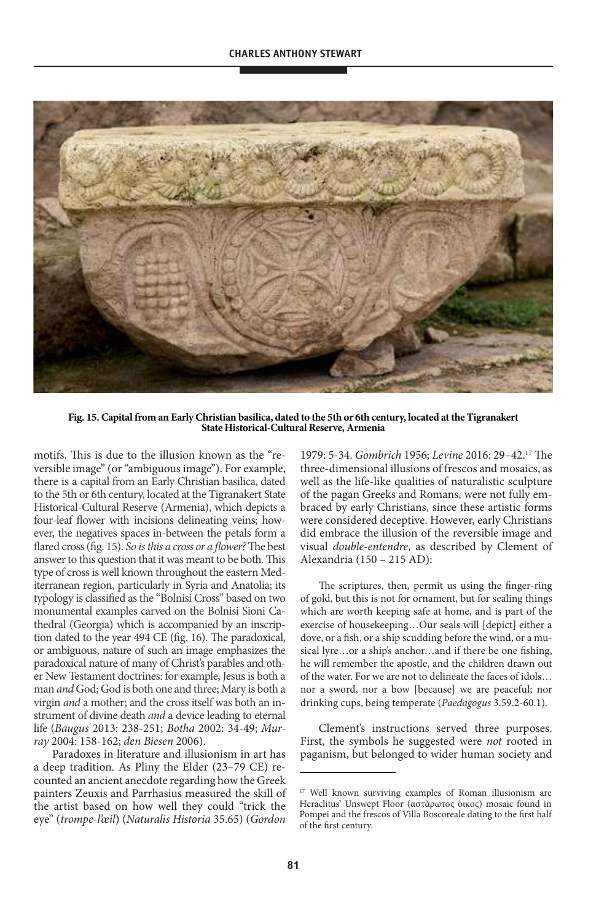![](_page_17_Picture_1.jpeg)

**Fig. 15. Capital from an early Christian basilica, dated to the 5th or 6th century, located at the tigranakert State Historical-Cultural Reserve, Armenia** 

motifs. This is due to the illusion known as the "reversible image" (or "ambiguous image"). For example, there is a capital from an Early Christian basilica, dated to the 5th or 6th century, located at the Tigranakert State Historical-Cultural Reserve (Armenia), which depicts a four-leaf flower with incisions delineating veins; however, the negatives spaces in-between the petals form a flared cross (fig. 15). So is this a cross or a flower? The best answer to this question that it was meant to be both. This type of cross is well known throughout the eastern Mediterranean region, particularly in Syria and Anatolia; its typology is classified as the "Bolnisi Cross" based on two monumental examples carved on the Bolnisi Sioni Cathedral (Georgia) which is accompanied by an inscription dated to the year 494 CE (fig. 16). The paradoxical, or ambiguous, nature of such an image emphasizes the paradoxical nature of many of Christ's parables and other New Testament doctrines: for example, Jesus is both a man and God; God is both one and three; Mary is both a virgin and a mother; and the cross itself was both an instrument of divine death and a device leading to eternal life (Baugus 2013: 238-251; Botha 2002: 34-49; Murray 2004: 158-162; den Biesen 2006).

Paradoxes in literature and illusionism in art has a deep tradition. As Pliny the Elder (23–79 CE) recounted an ancient anecdote regarding how the Greek painters Zeuxis and Parrhasius measured the skill of the artist based on how well they could "trick the eye" (trompe-l'œil) (Naturalis Historia 35.65) (Gordon

1979: 5-34. Gombrich 1956; Levine 2016: 29–42.<sup>17</sup> The three-dimensional illusions of frescos and mosaics, as well as the life-like qualities of naturalistic sculpture of the pagan Greeks and Romans, were not fully embraced by early Christians, since these artistic forms were considered deceptive. However, early Christians did embrace the illusion of the reversible image and visual double-entendre, as described by Clement of Alexandria (150 – 215 AD):

The scriptures, then, permit us using the finger-ring of gold, but this is not for ornament, but for sealing things which are worth keeping safe at home, and is part of the exercise of housekeeping…Our seals will [depict] either a dove, or a fish, or a ship scudding before the wind, or a musical lyre…or a ship's anchor…and if there be one fishing, he will remember the apostle, and the children drawn out of the water. For we are not to delineate the faces of idols… nor a sword, nor a bow [because] we are peaceful; nor drinking cups, being temperate (Paedagogus 3.59.2-60.1).

Clement's instructions served three purposes. First, the symbols he suggested were *not* rooted in paganism, but belonged to wider human society and

<sup>&</sup>lt;sup>17</sup> Well known surviving examples of Roman illusionism are Heraclitus' Unswept Floor (αστὰρωτος ὸικος) mosaic found in Pompei and the frescos of Villa Boscoreale dating to the first half of the first century.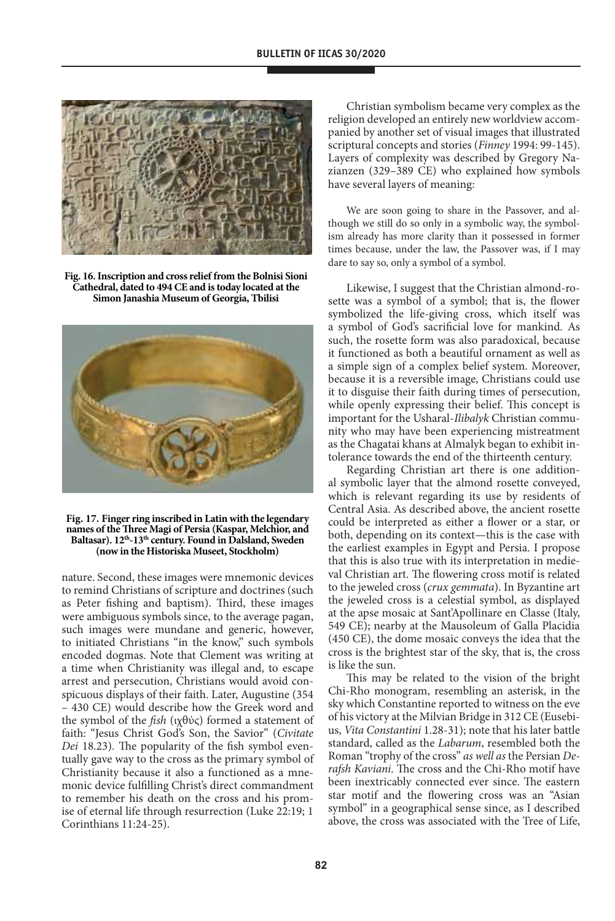![](_page_18_Figure_1.jpeg)

**Fig. 16. Inscription and cross relief from the Bolnisi sioni**  Cathedral, dated to 494 CE and is today located at the **simon Janashia Museum of Georgia, tbilisi**

![](_page_18_Picture_3.jpeg)

**Fig. 17. Finger ring inscribed in latin with the legendary names of the Three Magi of Persia (Kaspar, Melchior, and**  Baltasar). 12<sup>th</sup>-13<sup>th</sup> century. Found in Dalsland, Sweden **(now in the Historiska Museet, stockholm)**

nature. Second, these images were mnemonic devices to remind Christians of scripture and doctrines (such as Peter fishing and baptism). Third, these images were ambiguous symbols since, to the average pagan, such images were mundane and generic, however, to initiated Christians "in the know," such symbols encoded dogmas. Note that Clement was writing at a time when Christianity was illegal and, to escape arrest and persecution, Christians would avoid conspicuous displays of their faith. Later, Augustine (354 – 430 CE) would describe how the Greek word and the symbol of the *fish* (ιχθύς) formed a statement of faith: "Jesus Christ God's Son, the Savior" (Civitate Dei 18.23). The popularity of the fish symbol eventually gave way to the cross as the primary symbol of Christianity because it also a functioned as a mnemonic device fulfilling Christ's direct commandment to remember his death on the cross and his promise of eternal life through resurrection (Luke 22:19; 1 Corinthians 11:24-25).

Christian symbolism became very complex as the religion developed an entirely new worldview accompanied by another set of visual images that illustrated scriptural concepts and stories (Finney 1994: 99-145). Layers of complexity was described by Gregory Nazianzen (329–389 CE) who explained how symbols have several layers of meaning:

We are soon going to share in the Passover, and although we still do so only in a symbolic way, the symbolism already has more clarity than it possessed in former times because, under the law, the Passover was, if I may dare to say so, only a symbol of a symbol.

Likewise, I suggest that the Christian almond-rosette was a symbol of a symbol; that is, the flower symbolized the life-giving cross, which itself was a symbol of God's sacrificial love for mankind. As such, the rosette form was also paradoxical, because it functioned as both a beautiful ornament as well as a simple sign of a complex belief system. Moreover, because it is a reversible image, Christians could use it to disguise their faith during times of persecution, while openly expressing their belief. This concept is important for the Usharal-Ilibalyk Christian community who may have been experiencing mistreatment as the Chagatai khans at Almalyk began to exhibit intolerance towards the end of the thirteenth century.

Regarding Christian art there is one additional symbolic layer that the almond rosette conveyed, which is relevant regarding its use by residents of Central Asia. As described above, the ancient rosette could be interpreted as either a flower or a star, or both, depending on its context—this is the case with the earliest examples in Egypt and Persia. I propose that this is also true with its interpretation in medieval Christian art. The flowering cross motif is related to the jeweled cross (crux gemmata). In Byzantine art the jeweled cross is a celestial symbol, as displayed at the apse mosaic at Sant'Apollinare en Classe (Italy, 549 CE); nearby at the Mausoleum of Galla Placidia (450 CE), the dome mosaic conveys the idea that the cross is the brightest star of the sky, that is, the cross is like the sun.

This may be related to the vision of the bright Chi-Rho monogram, resembling an asterisk, in the sky which Constantine reported to witness on the eve of his victory at the Milvian Bridge in 312 CE (Eusebius, Vita Constantini 1.28-31); note that his later battle standard, called as the Labarum, resembled both the Roman "trophy of the cross" as well as the Persian Derafsh Kaviani. The cross and the Chi-Rho motif have been inextricably connected ever since. The eastern star motif and the flowering cross was an "Asian symbol" in a geographical sense since, as I described above, the cross was associated with the Tree of Life,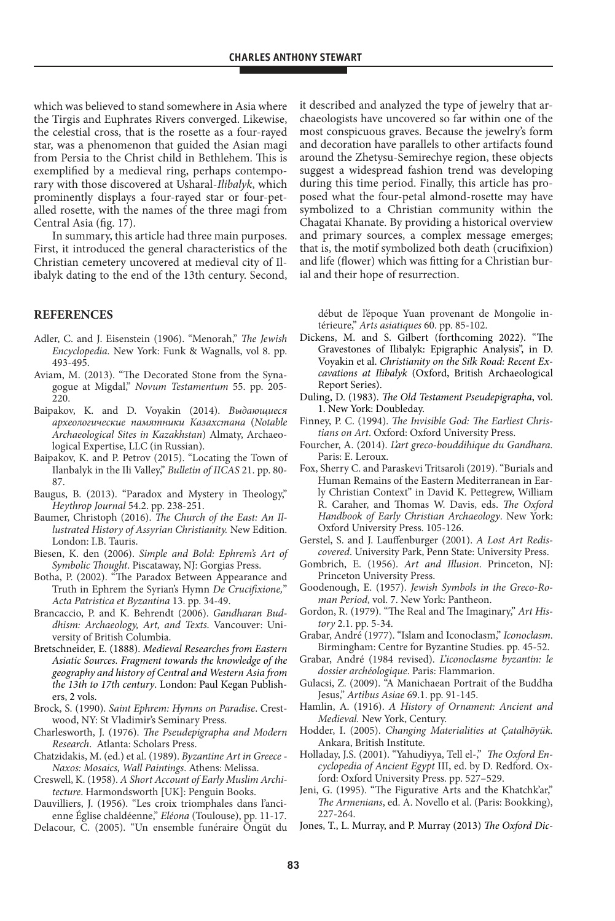which was believed to stand somewhere in Asia where the Tirgis and Euphrates Rivers converged. Likewise, the celestial cross, that is the rosette as a four-rayed star, was a phenomenon that guided the Asian magi from Persia to the Christ child in Bethlehem. This is exemplified by a medieval ring, perhaps contemporary with those discovered at Usharal-Ilibalyk, which prominently displays a four-rayed star or four-petalled rosette, with the names of the three magi from Central Asia (fig. 17).

In summary, this article had three main purposes. First, it introduced the general characteristics of the Christian cemetery uncovered at medieval city of Ilibalyk dating to the end of the 13th century. Second,

# **reFerenCes**

- Adler, C. and J. Eisenstein (1906). "Menorah," The Jewish Encyclopedia. New York: Funk & Wagnalls, vol 8. pp. 493-495.
- Aviam, M. (2013). "The Decorated Stone from the Synagogue at Migdal," Novum Testamentum 55. pp. 205- 220.
- Baipakov, K. and D. Voyakin (2014). Выдающиеся археологические памятники Казахстана (Notable Archaeological Sites in Kazakhstan) Almaty, Archaeological Expertise, LLC (in Russian).
- Baipakov, K. and P. Petrov (2015). "Locating the Town of Ilanbalyk in the Ili Valley," Bulletin of IICAS 21. pp. 80- 87.
- Baugus, B. (2013). "Paradox and Mystery in Theology," Heythrop Journal 54.2. pp. 238-251.
- Baumer, Christoph (2016). The Church of the East: An Illustrated History of Assyrian Christianity. New Edition. London: I.B. Tauris.
- Biesen, K. den (2006). Simple and Bold: Ephrem's Art of Symbolic Thought. Piscataway, NJ: Gorgias Press.
- Botha, P. (2002). "The Paradox Between Appearance and Truth in Ephrem the Syrian's Hymn De Crucifixione," Acta Patristica et Byzantina 13. pp. 34-49.
- Brancaccio, P. and K. Behrendt (2006). Gandharan Buddhism: Archaeology, Art, and Texts. Vancouver: University of British Columbia.
- Bretschneider, E. (1888). Medieval Researches from Eastern Asiatic Sources. Fragment towards the knowledge of the geography and history of Central and Western Asia from the 13th to 17th century. London: Paul Kegan Publishers, 2 vols.
- Brock, S. (1990). Saint Ephrem: Hymns on Paradise. Crestwood, NY: St Vladimir's Seminary Press.
- Charlesworth, J. (1976). The Pseudepigrapha and Modern Research. Atlanta: Scholars Press.
- Chatzidakis, M. (ed.) et al. (1989). Byzantine Art in Greece Naxos: Mosaics, Wall Paintings. Athens: Melissa.
- Creswell, K. (1958). A Short Account of Early Muslim Architecture. Harmondsworth [UK]: Penguin Books.
- Dauvilliers, J. (1956). "Les croix triomphales dans l'ancienne Église chaldéenne," Eléona (Toulouse), pp. 11-17.
- Delacour, C. (2005). "Un ensemble funéraire Öngüt du

it described and analyzed the type of jewelry that archaeologists have uncovered so far within one of the most conspicuous graves. Because the jewelry's form and decoration have parallels to other artifacts found around the Zhetysu-Semirechye region, these objects suggest a widespread fashion trend was developing during this time period. Finally, this article has proposed what the four-petal almond-rosette may have symbolized to a Christian community within the Chagatai Khanate. By providing a historical overview and primary sources, a complex message emerges; that is, the motif symbolized both death (crucifixion) and life (flower) which was fitting for a Christian burial and their hope of resurrection.

début de l'époque Yuan provenant de Mongolie intérieure," Arts asiatiques 60. pp. 85-102.

- Dickens, M. and S. Gilbert (forthcoming 2022). "The Gravestones of Ilibalyk: Epigraphic Analysis", in D. Voyakin et al. Christianity on the Silk Road: Recent Excavations at Ilibalyk (Oxford, British Archaeological Report Series).
- Duling, D. (1983). The Old Testament Pseudepigrapha, vol. 1. New York: Doubleday.
- Finney, P. C. (1994). The Invisible God: The Earliest Christians on Art. Oxford: Oxford University Press.
- Fourcher, A. (2014). L'art greco-bouddihique du Gandhara. Paris: E. Leroux.
- Fox, Sherry C. and Paraskevi Tritsaroli (2019). "Burials and Human Remains of the Eastern Mediterranean in Early Christian Context" in David K. Pettegrew, William R. Caraher, and Thomas W. Davis, eds. The Oxford Handbook of Early Christian Archaeology. New York: Oxford University Press. 105-126.
- Gerstel, S. and J. Lauffenburger (2001). A Lost Art Rediscovered. University Park, Penn State: University Press.
- Gombrich, E. (1956). Art and Illusion. Princeton, NJ: Princeton University Press.
- Goodenough, E. (1957). Jewish Symbols in the Greco-Roman Period, vol. 7. New York: Pantheon.
- Gordon, R. (1979). "The Real and The Imaginary," Art History 2.1. pp. 5-34.
- Grabar, André (1977). "Islam and Iconoclasm," Iconoclasm. Birmingham: Centre for Byzantine Studies. pp. 45-52.
- Grabar, André (1984 revised). L'iconoclasme byzantin: le dossier archéologique. Paris: Flammarion.
- Gulacsi, Z. (2009). "A Manichaean Portrait of the Buddha Jesus," Artibus Asiae 69.1. pp. 91-145.
- Hamlin, A. (1916). A History of Ornament: Ancient and Medieval. New York, Century.
- Hodder, I. (2005). Changing Materialities at Çatalhöyük. Ankara, British Institute.
- Holladay, J.S. (2001). "Yahudiyya, Tell el-," The Oxford Encyclopedia of Ancient Egypt III, ed. by D. Redford. Oxford: Oxford University Press. pp. 527–529.
- Jeni, G. (1995). "The Figurative Arts and the Khatchk'ar," The Armenians, ed. A. Novello et al. (Paris: Bookking), 227-264.
- Jones, T., L. Murray, and P. Murray (2013) The Oxford Dic-